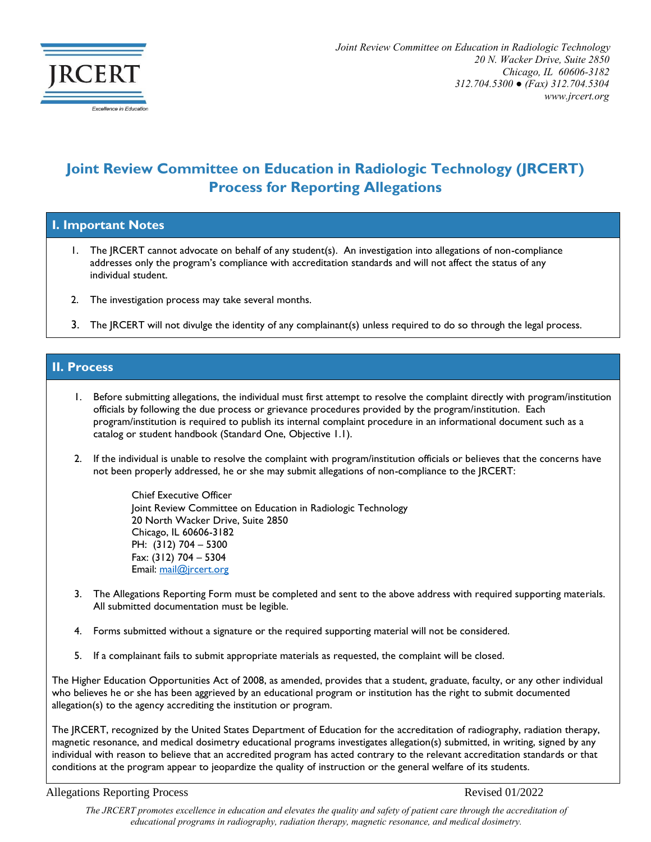

## **Joint Review Committee on Education in Radiologic Technology (JRCERT) Process for Reporting Allegations**

**I. Important Notes**

- 1. The JRCERT cannot advocate on behalf of any student(s). An investigation into allegations of non-compliance addresses only the program's compliance with accreditation standards and will not affect the status of any individual student.
- 2. The investigation process may take several months.
- 3. The IRCERT will not divulge the identity of any complainant(s) unless required to do so through the legal process.

## **II. Process**

- 1. Before submitting allegations, the individual must first attempt to resolve the complaint directly with program/institution officials by following the due process or grievance procedures provided by the program/institution. Each program/institution is required to publish its internal complaint procedure in an informational document such as a catalog or student handbook (Standard One, Objective 1.1).
- 2. If the individual is unable to resolve the complaint with program/institution officials or believes that the concerns have not been properly addressed, he or she may submit allegations of non-compliance to the JRCERT:

Chief Executive Officer Joint Review Committee on Education in Radiologic Technology 20 North Wacker Drive, Suite 2850 Chicago, IL 60606-3182 PH: (312) 704 – 5300 Fax: (312) 704 – 5304 Email: [mail@jrcert.org](mailto:mail@jrcert.org)

- 3. The Allegations Reporting Form must be completed and sent to the above address with required supporting materials. All submitted documentation must be legible.
- 4. Forms submitted without a signature or the required supporting material will not be considered.
- 5. If a complainant fails to submit appropriate materials as requested, the complaint will be closed.

The Higher Education Opportunities Act of 2008, as amended, provides that a student, graduate, faculty, or any other individual who believes he or she has been aggrieved by an educational program or institution has the right to submit documented allegation(s) to the agency accrediting the institution or program.

The JRCERT, recognized by the United States Department of Education for the accreditation of radiography, radiation therapy, magnetic resonance, and medical dosimetry educational programs investigates allegation(s) submitted, in writing, signed by any individual with reason to believe that an accredited program has acted contrary to the relevant accreditation standards or that conditions at the program appear to jeopardize the quality of instruction or the general welfare of its students.

Allegations Reporting Process Revised 01/2022

*The JRCERT promotes excellence in education and elevates the quality and safety of patient care through the accreditation of educational programs in radiography, radiation therapy, magnetic resonance, and medical dosimetry.*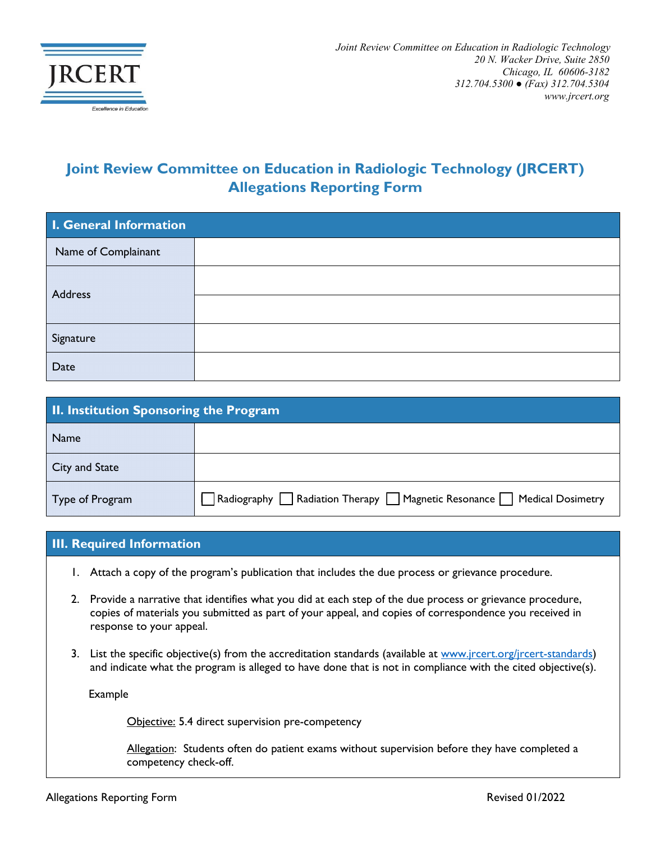

## **Joint Review Committee on Education in Radiologic Technology (JRCERT) Allegations Reporting Form**

| I. General Information |  |
|------------------------|--|
| Name of Complainant    |  |
| Address                |  |
|                        |  |
| Signature              |  |
| Date                   |  |

| II. Institution Sponsoring the Program |                                                                                                |
|----------------------------------------|------------------------------------------------------------------------------------------------|
| <b>Name</b>                            |                                                                                                |
| City and State                         |                                                                                                |
| Type of Program                        | $\Box$ Radiography $\Box$ Radiation Therapy $\Box$ Magnetic Resonance $\Box$ Medical Dosimetry |

## **III. Required Information**

- 1. Attach a copy of the program's publication that includes the due process or grievance procedure.
- 2. Provide a narrative that identifies what you did at each step of the due process or grievance procedure, copies of materials you submitted as part of your appeal, and copies of correspondence you received in response to your appeal.
- 3. List the specific objective(s) from the accreditation standards (available at [www.jrcert.org/jrcert-standards\)](http://www.jrcert.org/jrcert-standards) and indicate what the program is alleged to have done that is not in compliance with the cited objective(s).

Example

Objective: 5.4 direct supervision pre-competency

Allegation: Students often do patient exams without supervision before they have completed a competency check-off.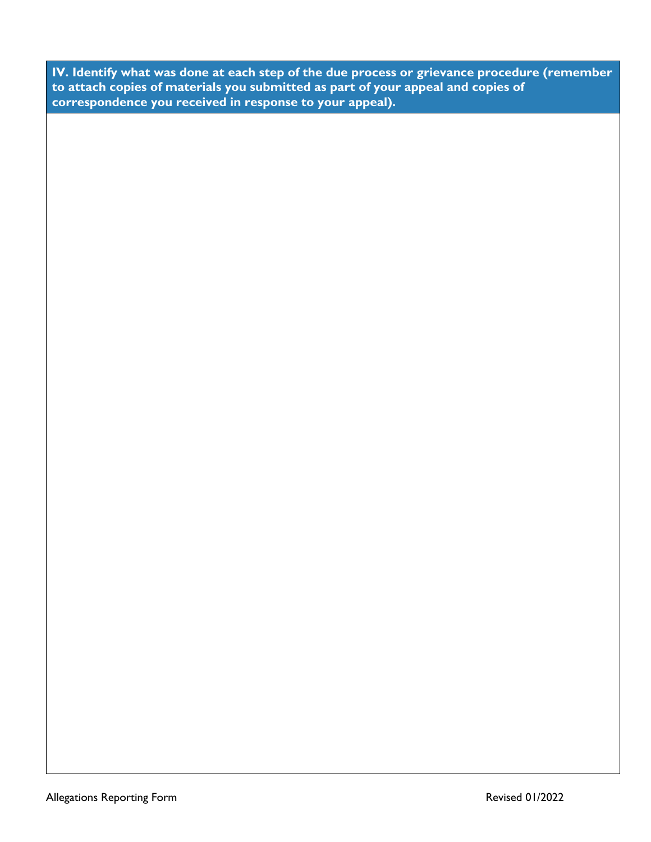**IV. Identify what was done at each step of the due process or grievance procedure (remember to attach copies of materials you submitted as part of your appeal and copies of correspondence you received in response to your appeal).**